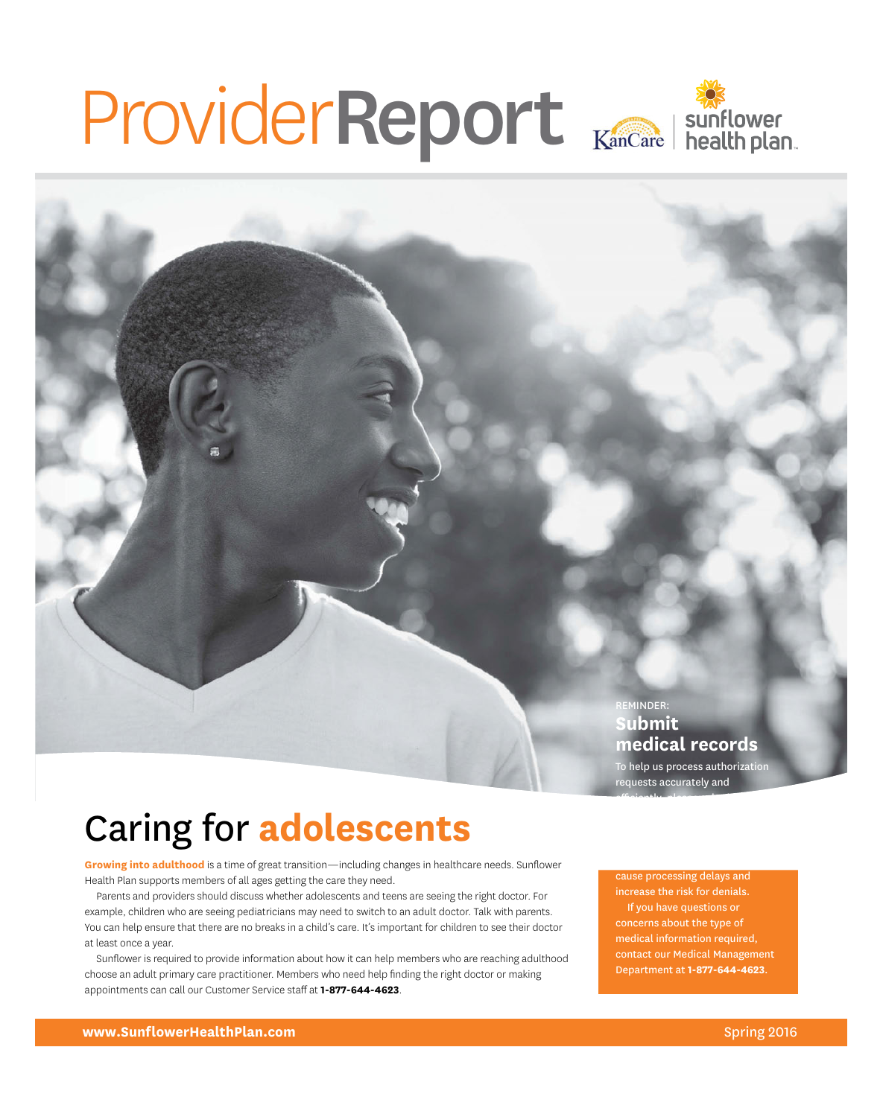# ProviderReport

REMINDER: **Submit medical records** 

To help us process authorization requests accurately and

efficiently, please submit

# Caring for **adolescents**

**Growing into adulthood** is a time of great transition—including changes in healthcare needs. Sunflower Health Plan supports members of all ages getting the care they need.

Parents and providers should discuss whether adolescents and teens are seeing the right doctor. For example, children who are seeing pediatricians may need to switch to an adult doctor. Talk with parents. You can help ensure that there are no breaks in a child's care. It's important for children to see their doctor at least once a year.

Sunflower is required to provide information about how it can help members who are reaching adulthood choose an adult primary care practitioner. Members who need help finding the right doctor or making appointments can call our Customer Service staff at **1-877-644-4623**.

cause processing delays and increase the risk for denials. If you have questions or concerns about the type of medical information required, contact our Medical Management Department at **1-877-644-4623**.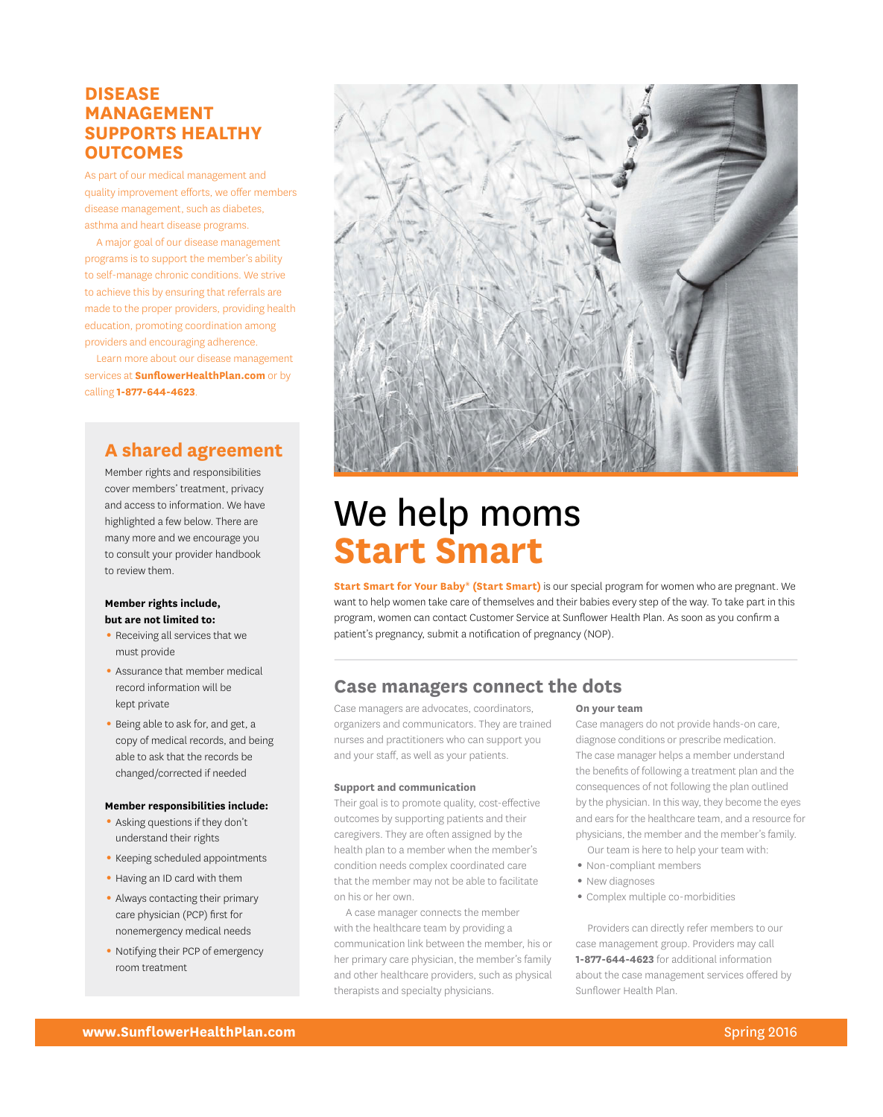## **DiSeASe MAnAGeMent SuppOrtS HeAltHY OutCOMeS**

As part of our medical management and quality improvement efforts, we offer members disease management, such as diabetes, asthma and heart disease programs.

A major goal of our disease management programs is to support the member's ability to self-manage chronic conditions. We strive to achieve this by ensuring that referrals are made to the proper providers, providing health education, promoting coordination among providers and encouraging adherence.

Learn more about our disease management services at **[SunflowerHealthplan.com](http://www.sunflowerhealthplan.com/)** or by calling **1-877-644-4623**.

# **A shared agreement**

Member rights and responsibilities cover members' treatment, privacy and access to information. We have highlighted a few below. There are many more and we encourage you to consult your provider handbook to review them.

#### **Member rights include, but are not limited to:**

- Receiving all services that we must provide
- Assurance that member medical record information will be kept private
- Being able to ask for, and get, a copy of medical records, and being able to ask that the records be changed/corrected if needed

#### **Member responsibilities include:**

- Asking questions if they don't understand their rights
- Keeping scheduled appointments
- Having an ID card with them
- Always contacting their primary care physician (PCP) first for nonemergency medical needs
- Notifying their PCP of emergency room treatment



# We help moms **Start Smart**

**Start Smart for Your Baby® (Start Smart)** is our special program for women who are pregnant. We want to help women take care of themselves and their babies every step of the way. To take part in this program, women can contact Customer Service at Sunflower Health Plan. As soon as you confirm a patient's pregnancy, submit a notification of pregnancy (NOP).

## **Case managers connect the dots**

Case managers are advocates, coordinators, organizers and communicators. They are trained nurses and practitioners who can support you and your staff, as well as your patients.

#### **Support and communication**

Their goal is to promote quality, cost-effective outcomes by supporting patients and their caregivers. They are often assigned by the health plan to a member when the member's condition needs complex coordinated care that the member may not be able to facilitate on his or her own.

A case manager connects the member with the healthcare team by providing a communication link between the member, his or her primary care physician, the member's family and other healthcare providers, such as physical therapists and specialty physicians.

#### **On your team**

Case managers do not provide hands-on care, diagnose conditions or prescribe medication. The case manager helps a member understand the benefits of following a treatment plan and the consequences of not following the plan outlined by the physician. In this way, they become the eyes and ears for the healthcare team, and a resource for physicians, the member and the member's family.

Our team is here to help your team with:

- Non-compliant members
- New diagnoses
- 1 Complex multiple co-morbidities

Providers can directly refer members to our case management group. Providers may call **1-877-644-4623** for additional information about the case management services offered by Sunflower Health Plan.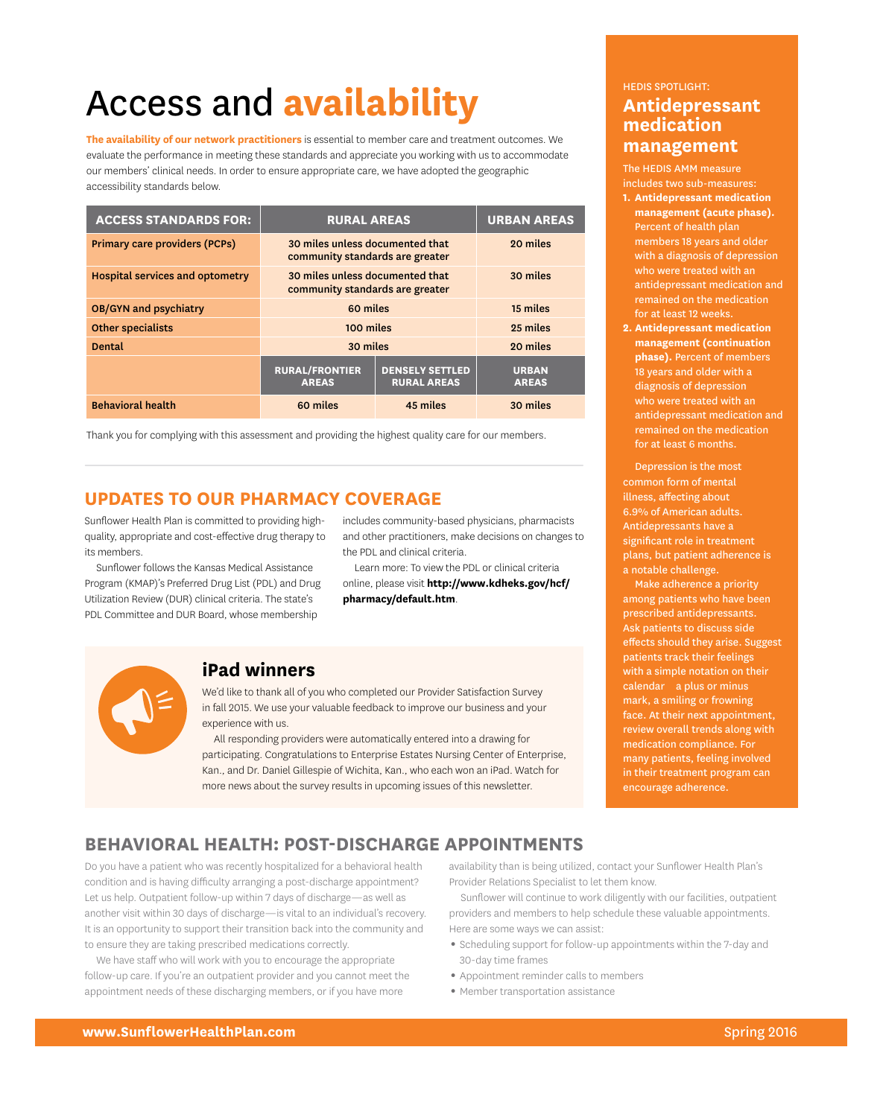# Access and **availability**

**the availability of our network practitioners** is essential to member care and treatment outcomes. We evaluate the performance in meeting these standards and appreciate you working with us to accommodate our members' clinical needs. In order to ensure appropriate care, we have adopted the geographic accessibility standards below.

| <b>ACCESS STANDARDS FOR:</b>    | <b>RURAL AREAS</b>                                                 |                                              | <b>URBAN AREAS</b>           |
|---------------------------------|--------------------------------------------------------------------|----------------------------------------------|------------------------------|
| Primary care providers (PCPs)   | 30 miles unless documented that<br>community standards are greater |                                              | 20 miles                     |
| Hospital services and optometry | 30 miles unless documented that<br>community standards are greater |                                              | 30 miles                     |
| <b>OB/GYN and psychiatry</b>    | 60 miles                                                           |                                              | 15 miles                     |
| <b>Other specialists</b>        | 100 miles                                                          |                                              | 25 miles                     |
| <b>Dental</b>                   | 30 miles                                                           |                                              | 20 miles                     |
|                                 | <b>RURAL/FRONTIER</b><br><b>AREAS</b>                              | <b>DENSELY SETTLED</b><br><b>RURAL AREAS</b> | <b>URBAN</b><br><b>AREAS</b> |
| <b>Behavioral health</b>        | 60 miles                                                           | 45 miles                                     | 30 miles                     |

Thank you for complying with this assessment and providing the highest quality care for our members.

## **upDAteS tO Our pHArMACY COverAGe**

Sunflower Health Plan is committed to providing high- includes community-based physicians, pharmacists its members. The PDL and clinical criteria.

Sunflower follows the Kansas Medical Assistance Learn more: To view the PDL or clinical criteria Program (KMAP)'s Preferred Drug List (PDL) and Drug online, please visit **[http://www.kdheks.gov/hcf/](http://www.kdheks.gov/hcf/pharmacy/default.htm)**  Utilization Review (DUR) clinical criteria. The state's **[pharmacy/default.htm](http://www.kdheks.gov/hcf/pharmacy/default.htm)**. PDL Committee and DUR Board, whose membership

quality, appropriate and cost-effective drug therapy to and other practitioners, make decisions on changes to



## **ipad winners**

We'd like to thank all of you who completed our Provider Satisfaction Survey in fall 2015. We use your valuable feedback to improve our business and your experience with us.

All responding providers were automatically entered into a drawing for participating. Congratulations to Enterprise Estates Nursing Center of Enterprise, Kan., and Dr. Daniel Gillespie of Wichita, Kan., who each won an iPad. Watch for more news about the survey results in upcoming issues of this newsletter.

#### HEDIS SPOTLIGHT:

## **Antidepressant medication management**

The HEDIS AMM measure includes two sub-measures:

- **1. Antidepressant medication management (acute phase).**  Percent of health plan members 18 years and older with a diagnosis of depression who were treated with an antidepressant medication and remained on the medication for at least 12 weeks.
- **2. Antidepressant medication management (continuation phase).** Percent of members 18 years and older with a diagnosis of depression who were treated with an antidepressant medication and remained on the medication for at least 6 months.

Depression is the most common form of mental illness, affecting about 6.9% of American adults. Antidepressants have a significant role in treatment plans, but patient adherence is a notable challenge.

— calendar a plus or minus Make adherence a priority among patients who have been prescribed antidepressants. Ask patients to discuss side effects should they arise. Suggest patients track their feelings with a simple notation on their mark, a smiling or frowning face. At their next appointment, review overall trends along with medication compliance. For many patients, feeling involved in their treatment program can encourage adherence.

# **BeHAviOrAl HeAltH: pOSt-DiSCHArGe AppOintMentS**

to ensure they are taking prescribed medications correctly. **1 Company of the Scheduling support for follow-up appointments within the 7-day and** Do you have a patient who was recently hospitalized for a behavioral health availability than is being utilized, contact your Sunflower Health Plan's condition and is having difficulty arranging a post-discharge appointment? Provider Relations Specialist to let them know. Let us help. Outpatient follow-up within 7 days of discharge—as well as Sunflower will continue to work diligently with our facilities, outpatient another visit within 30 days of discharge—is vital to an individual's recovery. providers and members to help schedule these valuable appointments. It is an opportunity to support their transition back into the community and Here are some ways we can assist:

We have staff who will work with you to encourage the appropriate 30-day time frames follow-up care. If you're an outpatient provider and you cannot meet the appointment needs of these discharging members, or if you have more

- 
- Appointment reminder calls to members
- Member transportation assistance